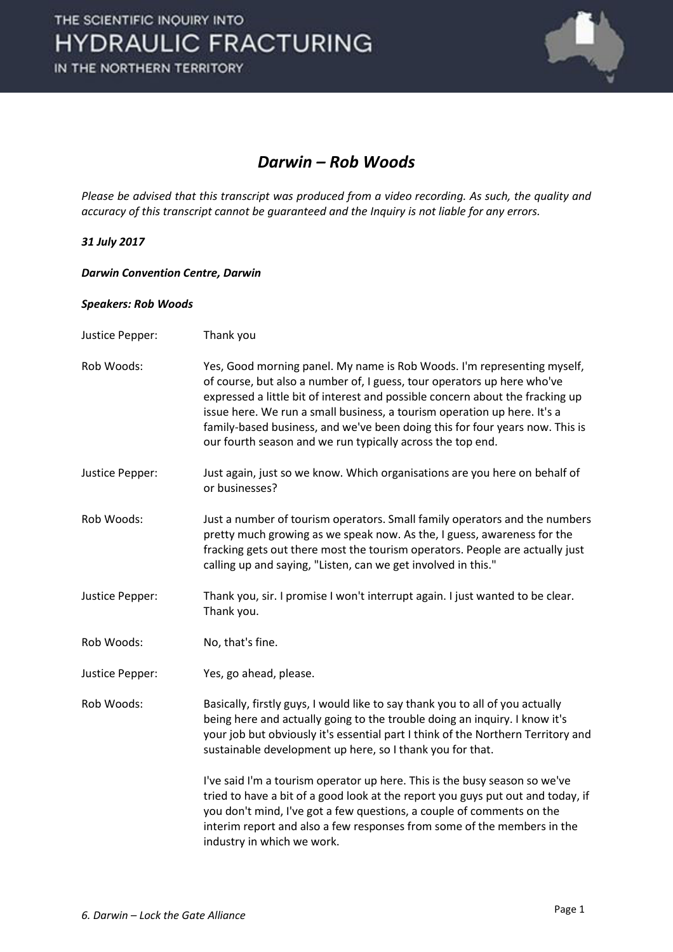

#### *Darwin – Rob Woods*

*Please be advised that this transcript was produced from a video recording. As such, the quality and accuracy of this transcript cannot be guaranteed and the Inquiry is not liable for any errors.* 

#### *31 July 2017*

*Darwin Convention Centre, Darwin* 

#### *Speakers: Rob Woods*

Justice Pepper: Thank you Rob Woods: Yes, Good morning panel. My name is Rob Woods. I'm representing myself, of course, but also a number of, I guess, tour operators up here who've expressed a little bit of interest and possible concern about the fracking up issue here. We run a small business, a tourism operation up here. It's a family-based business, and we've been doing this for four years now. This is our fourth season and we run typically across the top end. Justice Pepper: Just again, just so we know. Which organisations are you here on behalf of or businesses? Rob Woods: Just a number of tourism operators. Small family operators and the numbers pretty much growing as we speak now. As the, I guess, awareness for the fracking gets out there most the tourism operators. People are actually just calling up and saying, "Listen, can we get involved in this." Justice Pepper: Thank you, sir. I promise I won't interrupt again. I just wanted to be clear. Thank you. Rob Woods: No, that's fine. Justice Pepper: Yes, go ahead, please. Rob Woods: Basically, firstly guys, I would like to say thank you to all of you actually being here and actually going to the trouble doing an inquiry. I know it's your job but obviously it's essential part I think of the Northern Territory and sustainable development up here, so I thank you for that. I've said I'm a tourism operator up here. This is the busy season so we've tried to have a bit of a good look at the report you guys put out and today, if you don't mind, I've got a few questions, a couple of comments on the interim report and also a few responses from some of the members in the industry in which we work.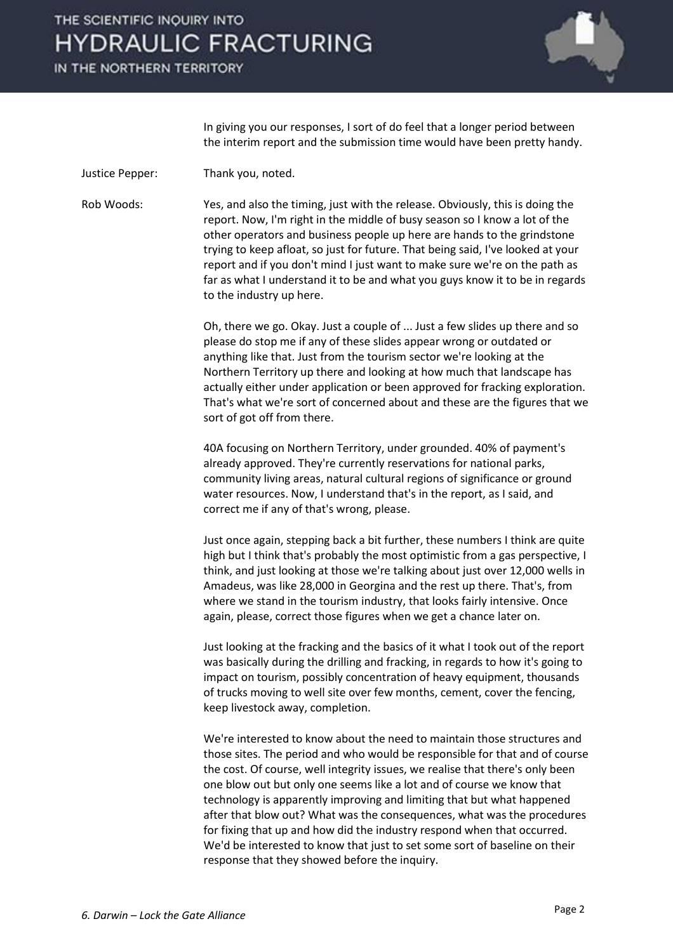IN THE NORTHERN TERRITORY



 In giving you our responses, I sort of do feel that a longer period between the interim report and the submission time would have been pretty handy.

Justice Pepper: Thank you, noted.

Rob Woods: Yes, and also the timing, just with the release. Obviously, this is doing the report. Now, I'm right in the middle of busy season so I know a lot of the other operators and business people up here are hands to the grindstone trying to keep afloat, so just for future. That being said, I've looked at your report and if you don't mind I just want to make sure we're on the path as far as what I understand it to be and what you guys know it to be in regards to the industry up here.

> Oh, there we go. Okay. Just a couple of ... Just a few slides up there and so please do stop me if any of these slides appear wrong or outdated or anything like that. Just from the tourism sector we're looking at the Northern Territory up there and looking at how much that landscape has actually either under application or been approved for fracking exploration. That's what we're sort of concerned about and these are the figures that we sort of got off from there.

 40A focusing on Northern Territory, under grounded. 40% of payment's already approved. They're currently reservations for national parks, community living areas, natural cultural regions of significance or ground water resources. Now, I understand that's in the report, as I said, and correct me if any of that's wrong, please.

 Just once again, stepping back a bit further, these numbers I think are quite high but I think that's probably the most optimistic from a gas perspective, I think, and just looking at those we're talking about just over 12,000 wells in Amadeus, was like 28,000 in Georgina and the rest up there. That's, from where we stand in the tourism industry, that looks fairly intensive. Once again, please, correct those figures when we get a chance later on.

 Just looking at the fracking and the basics of it what I took out of the report was basically during the drilling and fracking, in regards to how it's going to impact on tourism, possibly concentration of heavy equipment, thousands of trucks moving to well site over few months, cement, cover the fencing, keep livestock away, completion.

 We're interested to know about the need to maintain those structures and those sites. The period and who would be responsible for that and of course the cost. Of course, well integrity issues, we realise that there's only been one blow out but only one seems like a lot and of course we know that technology is apparently improving and limiting that but what happened after that blow out? What was the consequences, what was the procedures for fixing that up and how did the industry respond when that occurred. We'd be interested to know that just to set some sort of baseline on their response that they showed before the inquiry.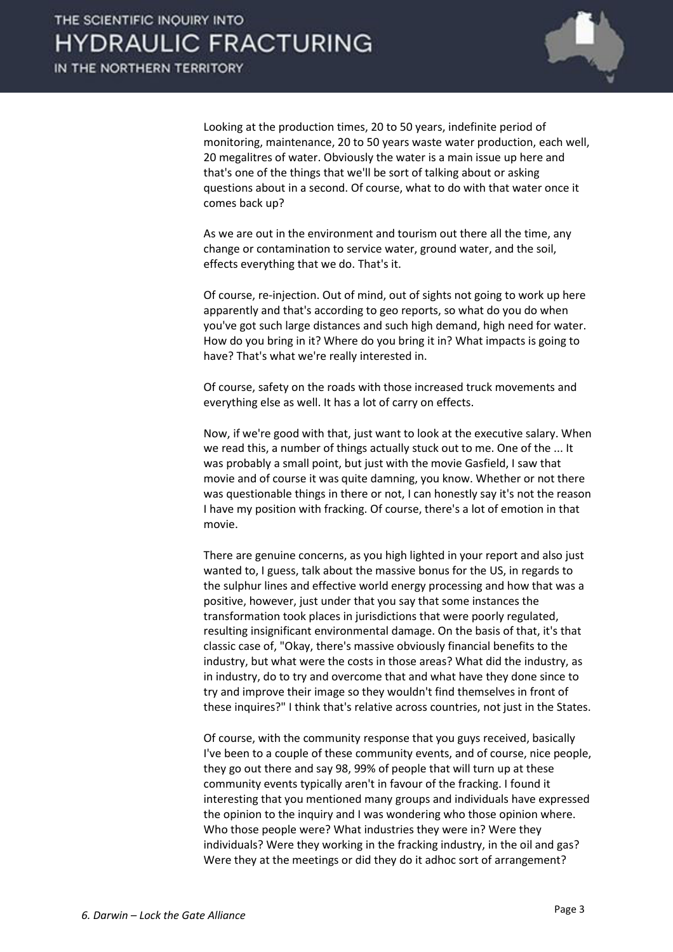

 Looking at the production times, 20 to 50 years, indefinite period of monitoring, maintenance, 20 to 50 years waste water production, each well, 20 megalitres of water. Obviously the water is a main issue up here and that's one of the things that we'll be sort of talking about or asking questions about in a second. Of course, what to do with that water once it comes back up?

 As we are out in the environment and tourism out there all the time, any change or contamination to service water, ground water, and the soil, effects everything that we do. That's it.

 Of course, re-injection. Out of mind, out of sights not going to work up here apparently and that's according to geo reports, so what do you do when you've got such large distances and such high demand, high need for water. How do you bring in it? Where do you bring it in? What impacts is going to have? That's what we're really interested in.

 Of course, safety on the roads with those increased truck movements and everything else as well. It has a lot of carry on effects.

 Now, if we're good with that, just want to look at the executive salary. When we read this, a number of things actually stuck out to me. One of the ... It was probably a small point, but just with the movie Gasfield, I saw that movie and of course it was quite damning, you know. Whether or not there was questionable things in there or not, I can honestly say it's not the reason I have my position with fracking. Of course, there's a lot of emotion in that movie.

 There are genuine concerns, as you high lighted in your report and also just wanted to, I guess, talk about the massive bonus for the US, in regards to the sulphur lines and effective world energy processing and how that was a positive, however, just under that you say that some instances the transformation took places in jurisdictions that were poorly regulated, resulting insignificant environmental damage. On the basis of that, it's that classic case of, "Okay, there's massive obviously financial benefits to the industry, but what were the costs in those areas? What did the industry, as in industry, do to try and overcome that and what have they done since to try and improve their image so they wouldn't find themselves in front of these inquires?" I think that's relative across countries, not just in the States.

 Of course, with the community response that you guys received, basically I've been to a couple of these community events, and of course, nice people, they go out there and say 98, 99% of people that will turn up at these community events typically aren't in favour of the fracking. I found it interesting that you mentioned many groups and individuals have expressed the opinion to the inquiry and I was wondering who those opinion where. Who those people were? What industries they were in? Were they individuals? Were they working in the fracking industry, in the oil and gas? Were they at the meetings or did they do it adhoc sort of arrangement?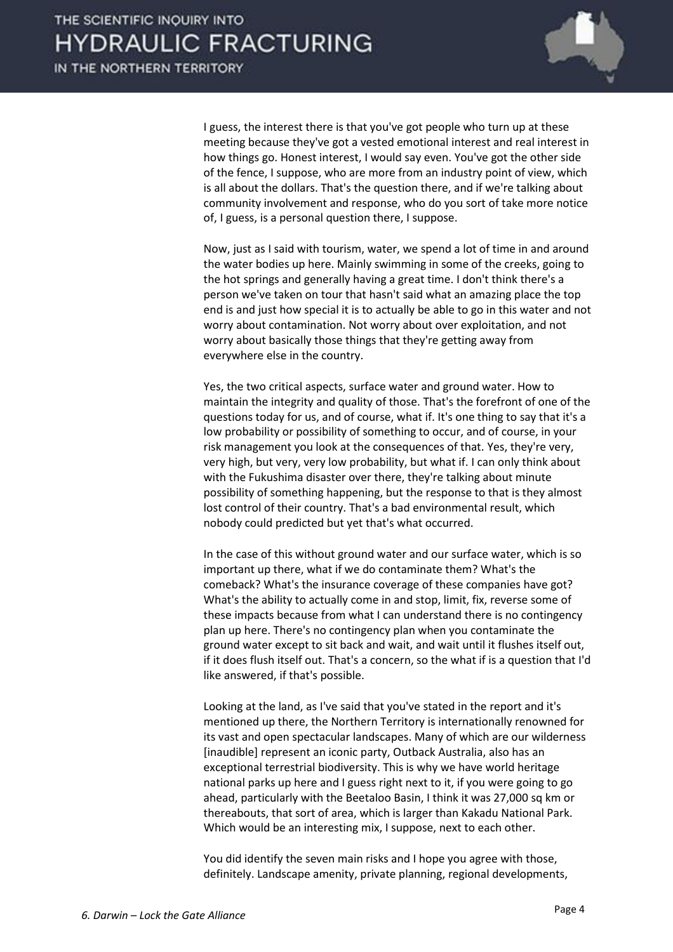

 I guess, the interest there is that you've got people who turn up at these meeting because they've got a vested emotional interest and real interest in how things go. Honest interest, I would say even. You've got the other side of the fence, I suppose, who are more from an industry point of view, which is all about the dollars. That's the question there, and if we're talking about community involvement and response, who do you sort of take more notice of, I guess, is a personal question there, I suppose.

 Now, just as I said with tourism, water, we spend a lot of time in and around the water bodies up here. Mainly swimming in some of the creeks, going to the hot springs and generally having a great time. I don't think there's a person we've taken on tour that hasn't said what an amazing place the top end is and just how special it is to actually be able to go in this water and not worry about contamination. Not worry about over exploitation, and not worry about basically those things that they're getting away from everywhere else in the country.

 Yes, the two critical aspects, surface water and ground water. How to maintain the integrity and quality of those. That's the forefront of one of the questions today for us, and of course, what if. It's one thing to say that it's a low probability or possibility of something to occur, and of course, in your risk management you look at the consequences of that. Yes, they're very, very high, but very, very low probability, but what if. I can only think about with the Fukushima disaster over there, they're talking about minute possibility of something happening, but the response to that is they almost lost control of their country. That's a bad environmental result, which nobody could predicted but yet that's what occurred.

 In the case of this without ground water and our surface water, which is so important up there, what if we do contaminate them? What's the comeback? What's the insurance coverage of these companies have got? What's the ability to actually come in and stop, limit, fix, reverse some of these impacts because from what I can understand there is no contingency plan up here. There's no contingency plan when you contaminate the ground water except to sit back and wait, and wait until it flushes itself out, if it does flush itself out. That's a concern, so the what if is a question that I'd like answered, if that's possible.

 Looking at the land, as I've said that you've stated in the report and it's mentioned up there, the Northern Territory is internationally renowned for its vast and open spectacular landscapes. Many of which are our wilderness [inaudible] represent an iconic party, Outback Australia, also has an exceptional terrestrial biodiversity. This is why we have world heritage national parks up here and I guess right next to it, if you were going to go ahead, particularly with the Beetaloo Basin, I think it was 27,000 sq km or thereabouts, that sort of area, which is larger than Kakadu National Park. Which would be an interesting mix, I suppose, next to each other.

 You did identify the seven main risks and I hope you agree with those, definitely. Landscape amenity, private planning, regional developments,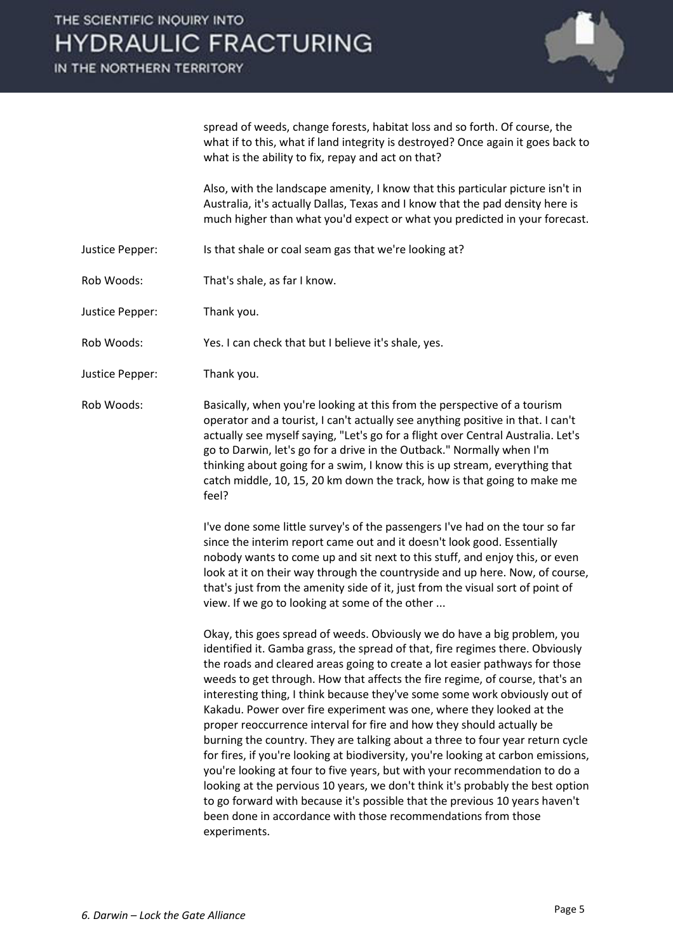IN THE NORTHERN TERRITORY



spread of weeds, change forests, habitat loss and so forth. Of course, the what if to this, what if land integrity is destroyed? Once again it goes back to what is the ability to fix, repay and act on that?

 Also, with the landscape amenity, I know that this particular picture isn't in Australia, it's actually Dallas, Texas and I know that the pad density here is much higher than what you'd expect or what you predicted in your forecast.

- Justice Pepper: Is that shale or coal seam gas that we're looking at?
- Rob Woods: That's shale, as far I know.
- Justice Pepper: Thank you.

Rob Woods: Yes. I can check that but I believe it's shale, yes.

- Justice Pepper: Thank you.
- Rob Woods: Basically, when you're looking at this from the perspective of a tourism operator and a tourist, I can't actually see anything positive in that. I can't actually see myself saying, "Let's go for a flight over Central Australia. Let's go to Darwin, let's go for a drive in the Outback." Normally when I'm thinking about going for a swim, I know this is up stream, everything that catch middle, 10, 15, 20 km down the track, how is that going to make me feel?

 I've done some little survey's of the passengers I've had on the tour so far since the interim report came out and it doesn't look good. Essentially nobody wants to come up and sit next to this stuff, and enjoy this, or even look at it on their way through the countryside and up here. Now, of course, that's just from the amenity side of it, just from the visual sort of point of view. If we go to looking at some of the other ...

 Okay, this goes spread of weeds. Obviously we do have a big problem, you identified it. Gamba grass, the spread of that, fire regimes there. Obviously the roads and cleared areas going to create a lot easier pathways for those weeds to get through. How that affects the fire regime, of course, that's an interesting thing, I think because they've some some work obviously out of Kakadu. Power over fire experiment was one, where they looked at the proper reoccurrence interval for fire and how they should actually be burning the country. They are talking about a three to four year return cycle for fires, if you're looking at biodiversity, you're looking at carbon emissions, you're looking at four to five years, but with your recommendation to do a looking at the pervious 10 years, we don't think it's probably the best option to go forward with because it's possible that the previous 10 years haven't been done in accordance with those recommendations from those experiments.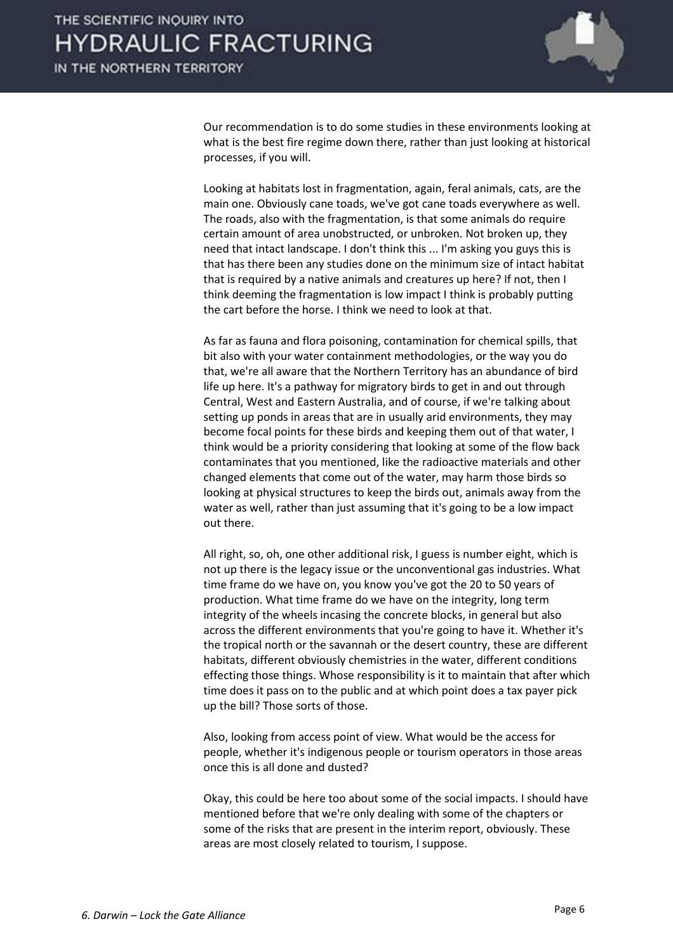

 Our recommendation is to do some studies in these environments looking at what is the best fire regime down there, rather than just looking at historical processes, if you will.

 Looking at habitats lost in fragmentation, again, feral animals, cats, are the main one. Obviously cane toads, we've got cane toads everywhere as well. The roads, also with the fragmentation, is that some animals do require certain amount of area unobstructed, or unbroken. Not broken up, they need that intact landscape. I don't think this ... I'm asking you guys this is that has there been any studies done on the minimum size of intact habitat that is required by a native animals and creatures up here? If not, then I think deeming the fragmentation is low impact I think is probably putting the cart before the horse. I think we need to look at that.

 As far as fauna and flora poisoning, contamination for chemical spills, that bit also with your water containment methodologies, or the way you do that, we're all aware that the Northern Territory has an abundance of bird life up here. It's a pathway for migratory birds to get in and out through Central, West and Eastern Australia, and of course, if we're talking about setting up ponds in areas that are in usually arid environments, they may become focal points for these birds and keeping them out of that water, I think would be a priority considering that looking at some of the flow back contaminates that you mentioned, like the radioactive materials and other changed elements that come out of the water, may harm those birds so looking at physical structures to keep the birds out, animals away from the water as well, rather than just assuming that it's going to be a low impact out there.

 All right, so, oh, one other additional risk, I guess is number eight, which is not up there is the legacy issue or the unconventional gas industries. What time frame do we have on, you know you've got the 20 to 50 years of production. What time frame do we have on the integrity, long term integrity of the wheels incasing the concrete blocks, in general but also across the different environments that you're going to have it. Whether it's the tropical north or the savannah or the desert country, these are different habitats, different obviously chemistries in the water, different conditions effecting those things. Whose responsibility is it to maintain that after which time does it pass on to the public and at which point does a tax payer pick up the bill? Those sorts of those.

 Also, looking from access point of view. What would be the access for people, whether it's indigenous people or tourism operators in those areas once this is all done and dusted?

 Okay, this could be here too about some of the social impacts. I should have mentioned before that we're only dealing with some of the chapters or some of the risks that are present in the interim report, obviously. These areas are most closely related to tourism, I suppose.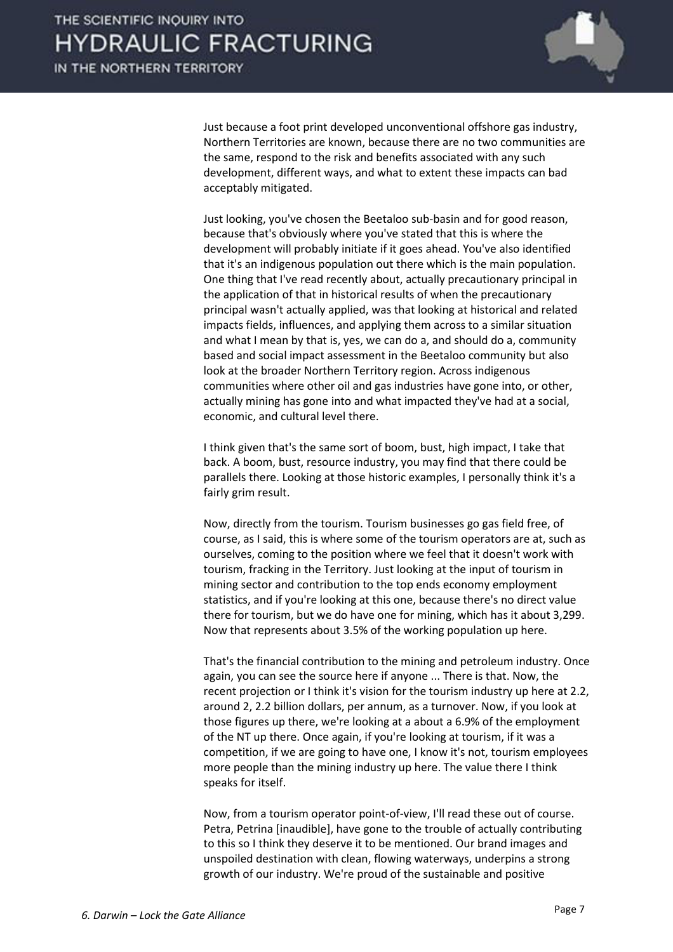

 Just because a foot print developed unconventional offshore gas industry, Northern Territories are known, because there are no two communities are the same, respond to the risk and benefits associated with any such development, different ways, and what to extent these impacts can bad acceptably mitigated.

 Just looking, you've chosen the Beetaloo sub-basin and for good reason, because that's obviously where you've stated that this is where the development will probably initiate if it goes ahead. You've also identified that it's an indigenous population out there which is the main population. One thing that I've read recently about, actually precautionary principal in the application of that in historical results of when the precautionary principal wasn't actually applied, was that looking at historical and related impacts fields, influences, and applying them across to a similar situation and what I mean by that is, yes, we can do a, and should do a, community based and social impact assessment in the Beetaloo community but also look at the broader Northern Territory region. Across indigenous communities where other oil and gas industries have gone into, or other, actually mining has gone into and what impacted they've had at a social, economic, and cultural level there.

 I think given that's the same sort of boom, bust, high impact, I take that back. A boom, bust, resource industry, you may find that there could be parallels there. Looking at those historic examples, I personally think it's a fairly grim result.

 Now, directly from the tourism. Tourism businesses go gas field free, of course, as I said, this is where some of the tourism operators are at, such as ourselves, coming to the position where we feel that it doesn't work with tourism, fracking in the Territory. Just looking at the input of tourism in mining sector and contribution to the top ends economy employment statistics, and if you're looking at this one, because there's no direct value there for tourism, but we do have one for mining, which has it about 3,299. Now that represents about 3.5% of the working population up here.

 That's the financial contribution to the mining and petroleum industry. Once again, you can see the source here if anyone ... There is that. Now, the recent projection or I think it's vision for the tourism industry up here at 2.2, around 2, 2.2 billion dollars, per annum, as a turnover. Now, if you look at those figures up there, we're looking at a about a 6.9% of the employment of the NT up there. Once again, if you're looking at tourism, if it was a competition, if we are going to have one, I know it's not, tourism employees more people than the mining industry up here. The value there I think speaks for itself.

 Now, from a tourism operator point-of-view, I'll read these out of course. Petra, Petrina [inaudible], have gone to the trouble of actually contributing to this so I think they deserve it to be mentioned. Our brand images and unspoiled destination with clean, flowing waterways, underpins a strong growth of our industry. We're proud of the sustainable and positive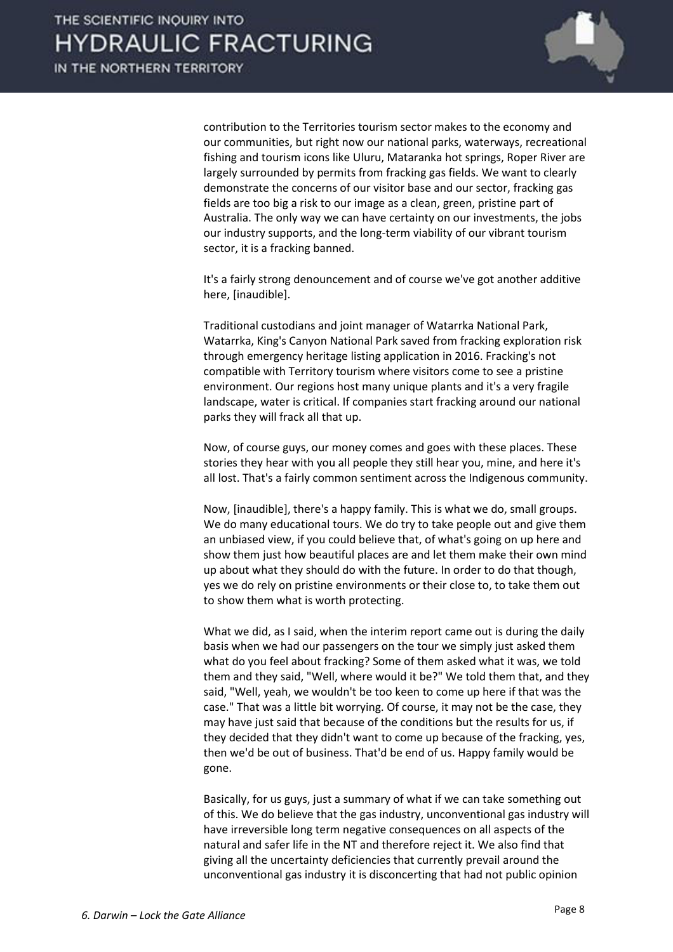

contribution to the Territories tourism sector makes to the economy and our communities, but right now our national parks, waterways, recreational fishing and tourism icons like Uluru, Mataranka hot springs, Roper River are largely surrounded by permits from fracking gas fields. We want to clearly demonstrate the concerns of our visitor base and our sector, fracking gas fields are too big a risk to our image as a clean, green, pristine part of Australia. The only way we can have certainty on our investments, the jobs our industry supports, and the long-term viability of our vibrant tourism sector, it is a fracking banned.

 It's a fairly strong denouncement and of course we've got another additive here, [inaudible].

 Traditional custodians and joint manager of Watarrka National Park, Watarrka, King's Canyon National Park saved from fracking exploration risk through emergency heritage listing application in 2016. Fracking's not compatible with Territory tourism where visitors come to see a pristine environment. Our regions host many unique plants and it's a very fragile landscape, water is critical. If companies start fracking around our national parks they will frack all that up.

 Now, of course guys, our money comes and goes with these places. These stories they hear with you all people they still hear you, mine, and here it's all lost. That's a fairly common sentiment across the Indigenous community.

 Now, [inaudible], there's a happy family. This is what we do, small groups. We do many educational tours. We do try to take people out and give them an unbiased view, if you could believe that, of what's going on up here and show them just how beautiful places are and let them make their own mind up about what they should do with the future. In order to do that though, yes we do rely on pristine environments or their close to, to take them out to show them what is worth protecting.

 What we did, as I said, when the interim report came out is during the daily basis when we had our passengers on the tour we simply just asked them what do you feel about fracking? Some of them asked what it was, we told them and they said, "Well, where would it be?" We told them that, and they said, "Well, yeah, we wouldn't be too keen to come up here if that was the case." That was a little bit worrying. Of course, it may not be the case, they may have just said that because of the conditions but the results for us, if they decided that they didn't want to come up because of the fracking, yes, then we'd be out of business. That'd be end of us. Happy family would be gone.

 Basically, for us guys, just a summary of what if we can take something out of this. We do believe that the gas industry, unconventional gas industry will have irreversible long term negative consequences on all aspects of the natural and safer life in the NT and therefore reject it. We also find that giving all the uncertainty deficiencies that currently prevail around the unconventional gas industry it is disconcerting that had not public opinion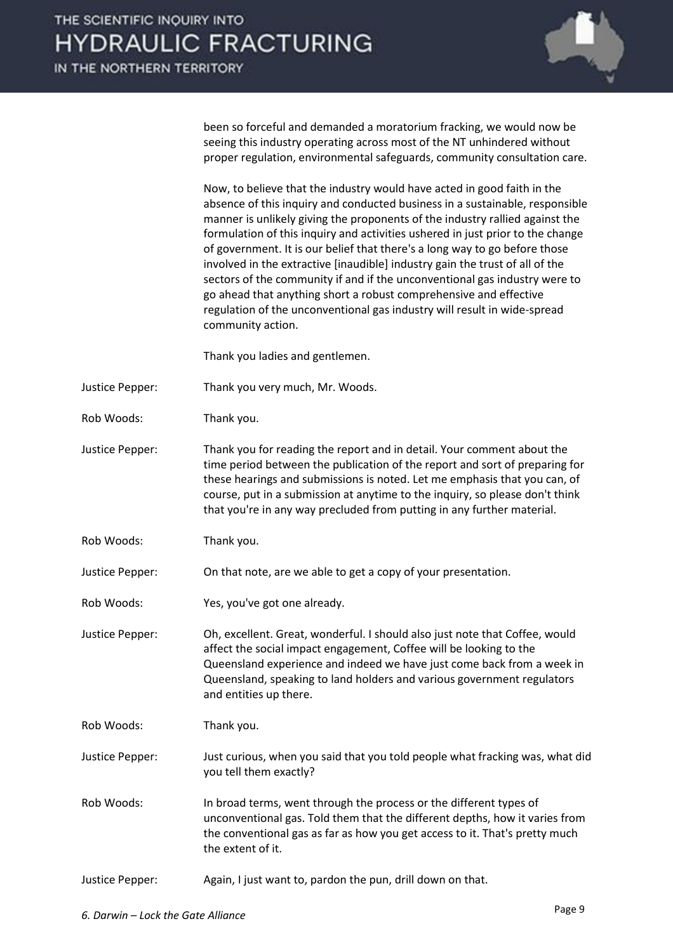IN THE NORTHERN TERRITORY



been so forceful and demanded a moratorium fracking, we would now be seeing this industry operating across most of the NT unhindered without proper regulation, environmental safeguards, community consultation care.

 Now, to believe that the industry would have acted in good faith in the absence of this inquiry and conducted business in a sustainable, responsible manner is unlikely giving the proponents of the industry rallied against the formulation of this inquiry and activities ushered in just prior to the change of government. It is our belief that there's a long way to go before those involved in the extractive [inaudible] industry gain the trust of all of the sectors of the community if and if the unconventional gas industry were to go ahead that anything short a robust comprehensive and effective regulation of the unconventional gas industry will result in wide-spread community action.

Thank you ladies and gentlemen.

- Justice Pepper: Thank you very much, Mr. Woods.
- Rob Woods: Thank you.
- Justice Pepper: Thank you for reading the report and in detail. Your comment about the time period between the publication of the report and sort of preparing for these hearings and submissions is noted. Let me emphasis that you can, of course, put in a submission at anytime to the inquiry, so please don't think that you're in any way precluded from putting in any further material.
- Rob Woods: Thank you.

Justice Pepper: On that note, are we able to get a copy of your presentation.

- Rob Woods: Yes, you've got one already.
- Justice Pepper: Oh, excellent. Great, wonderful. I should also just note that Coffee, would affect the social impact engagement, Coffee will be looking to the Queensland experience and indeed we have just come back from a week in Queensland, speaking to land holders and various government regulators and entities up there.
- Rob Woods: Thank you.
- Justice Pepper: Just curious, when you said that you told people what fracking was, what did you tell them exactly?
- Rob Woods: In broad terms, went through the process or the different types of unconventional gas. Told them that the different depths, how it varies from the conventional gas as far as how you get access to it. That's pretty much the extent of it.
- Justice Pepper: Again, I just want to, pardon the pun, drill down on that.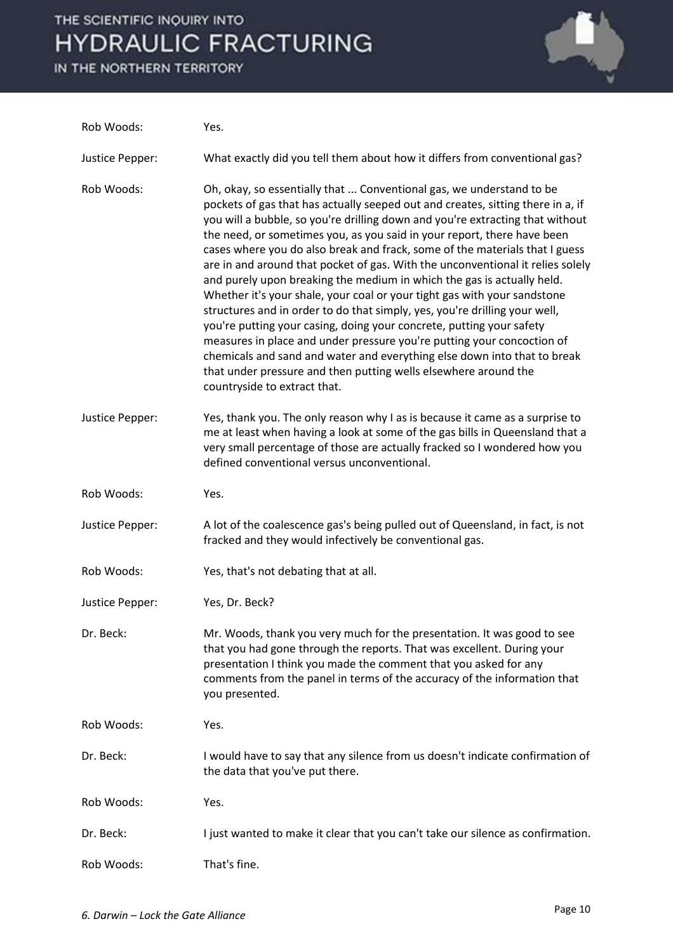IN THE NORTHERN TERRITORY



| Rob Woods:      | Yes.                                                                                                                                                                                                                                                                                                                                                                                                                                                                                                                                                                                                                                                                                                                                                                                                                                                                                                                                                                                                                                                      |
|-----------------|-----------------------------------------------------------------------------------------------------------------------------------------------------------------------------------------------------------------------------------------------------------------------------------------------------------------------------------------------------------------------------------------------------------------------------------------------------------------------------------------------------------------------------------------------------------------------------------------------------------------------------------------------------------------------------------------------------------------------------------------------------------------------------------------------------------------------------------------------------------------------------------------------------------------------------------------------------------------------------------------------------------------------------------------------------------|
| Justice Pepper: | What exactly did you tell them about how it differs from conventional gas?                                                                                                                                                                                                                                                                                                                                                                                                                                                                                                                                                                                                                                                                                                                                                                                                                                                                                                                                                                                |
| Rob Woods:      | Oh, okay, so essentially that  Conventional gas, we understand to be<br>pockets of gas that has actually seeped out and creates, sitting there in a, if<br>you will a bubble, so you're drilling down and you're extracting that without<br>the need, or sometimes you, as you said in your report, there have been<br>cases where you do also break and frack, some of the materials that I guess<br>are in and around that pocket of gas. With the unconventional it relies solely<br>and purely upon breaking the medium in which the gas is actually held.<br>Whether it's your shale, your coal or your tight gas with your sandstone<br>structures and in order to do that simply, yes, you're drilling your well,<br>you're putting your casing, doing your concrete, putting your safety<br>measures in place and under pressure you're putting your concoction of<br>chemicals and sand and water and everything else down into that to break<br>that under pressure and then putting wells elsewhere around the<br>countryside to extract that. |
| Justice Pepper: | Yes, thank you. The only reason why I as is because it came as a surprise to<br>me at least when having a look at some of the gas bills in Queensland that a<br>very small percentage of those are actually fracked so I wondered how you<br>defined conventional versus unconventional.                                                                                                                                                                                                                                                                                                                                                                                                                                                                                                                                                                                                                                                                                                                                                                  |
| Rob Woods:      | Yes.                                                                                                                                                                                                                                                                                                                                                                                                                                                                                                                                                                                                                                                                                                                                                                                                                                                                                                                                                                                                                                                      |
| Justice Pepper: | A lot of the coalescence gas's being pulled out of Queensland, in fact, is not<br>fracked and they would infectively be conventional gas.                                                                                                                                                                                                                                                                                                                                                                                                                                                                                                                                                                                                                                                                                                                                                                                                                                                                                                                 |
| Rob Woods:      | Yes, that's not debating that at all.                                                                                                                                                                                                                                                                                                                                                                                                                                                                                                                                                                                                                                                                                                                                                                                                                                                                                                                                                                                                                     |
| Justice Pepper: | Yes, Dr. Beck?                                                                                                                                                                                                                                                                                                                                                                                                                                                                                                                                                                                                                                                                                                                                                                                                                                                                                                                                                                                                                                            |
| Dr. Beck:       | Mr. Woods, thank you very much for the presentation. It was good to see<br>that you had gone through the reports. That was excellent. During your<br>presentation I think you made the comment that you asked for any<br>comments from the panel in terms of the accuracy of the information that<br>you presented.                                                                                                                                                                                                                                                                                                                                                                                                                                                                                                                                                                                                                                                                                                                                       |
| Rob Woods:      | Yes.                                                                                                                                                                                                                                                                                                                                                                                                                                                                                                                                                                                                                                                                                                                                                                                                                                                                                                                                                                                                                                                      |
| Dr. Beck:       | I would have to say that any silence from us doesn't indicate confirmation of<br>the data that you've put there.                                                                                                                                                                                                                                                                                                                                                                                                                                                                                                                                                                                                                                                                                                                                                                                                                                                                                                                                          |
| Rob Woods:      | Yes.                                                                                                                                                                                                                                                                                                                                                                                                                                                                                                                                                                                                                                                                                                                                                                                                                                                                                                                                                                                                                                                      |
| Dr. Beck:       | I just wanted to make it clear that you can't take our silence as confirmation.                                                                                                                                                                                                                                                                                                                                                                                                                                                                                                                                                                                                                                                                                                                                                                                                                                                                                                                                                                           |
| Rob Woods:      | That's fine.                                                                                                                                                                                                                                                                                                                                                                                                                                                                                                                                                                                                                                                                                                                                                                                                                                                                                                                                                                                                                                              |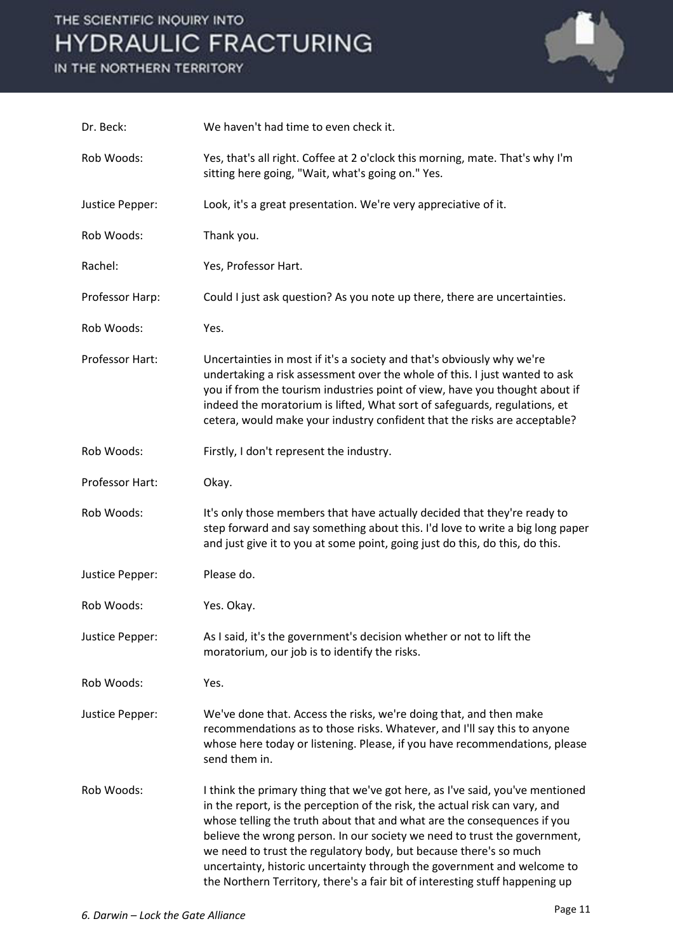IN THE NORTHERN TERRITORY



| Dr. Beck:       | We haven't had time to even check it.                                                                                                                                                                                                                                                                                                                                                                                                                                                                                                                |
|-----------------|------------------------------------------------------------------------------------------------------------------------------------------------------------------------------------------------------------------------------------------------------------------------------------------------------------------------------------------------------------------------------------------------------------------------------------------------------------------------------------------------------------------------------------------------------|
| Rob Woods:      | Yes, that's all right. Coffee at 2 o'clock this morning, mate. That's why I'm<br>sitting here going, "Wait, what's going on." Yes.                                                                                                                                                                                                                                                                                                                                                                                                                   |
| Justice Pepper: | Look, it's a great presentation. We're very appreciative of it.                                                                                                                                                                                                                                                                                                                                                                                                                                                                                      |
| Rob Woods:      | Thank you.                                                                                                                                                                                                                                                                                                                                                                                                                                                                                                                                           |
| Rachel:         | Yes, Professor Hart.                                                                                                                                                                                                                                                                                                                                                                                                                                                                                                                                 |
| Professor Harp: | Could I just ask question? As you note up there, there are uncertainties.                                                                                                                                                                                                                                                                                                                                                                                                                                                                            |
| Rob Woods:      | Yes.                                                                                                                                                                                                                                                                                                                                                                                                                                                                                                                                                 |
| Professor Hart: | Uncertainties in most if it's a society and that's obviously why we're<br>undertaking a risk assessment over the whole of this. I just wanted to ask<br>you if from the tourism industries point of view, have you thought about if<br>indeed the moratorium is lifted, What sort of safeguards, regulations, et<br>cetera, would make your industry confident that the risks are acceptable?                                                                                                                                                        |
| Rob Woods:      | Firstly, I don't represent the industry.                                                                                                                                                                                                                                                                                                                                                                                                                                                                                                             |
| Professor Hart: | Okay.                                                                                                                                                                                                                                                                                                                                                                                                                                                                                                                                                |
| Rob Woods:      | It's only those members that have actually decided that they're ready to<br>step forward and say something about this. I'd love to write a big long paper<br>and just give it to you at some point, going just do this, do this, do this.                                                                                                                                                                                                                                                                                                            |
| Justice Pepper: | Please do.                                                                                                                                                                                                                                                                                                                                                                                                                                                                                                                                           |
| Rob Woods:      | Yes. Okay.                                                                                                                                                                                                                                                                                                                                                                                                                                                                                                                                           |
| Justice Pepper: | As I said, it's the government's decision whether or not to lift the<br>moratorium, our job is to identify the risks.                                                                                                                                                                                                                                                                                                                                                                                                                                |
| Rob Woods:      | Yes.                                                                                                                                                                                                                                                                                                                                                                                                                                                                                                                                                 |
| Justice Pepper: | We've done that. Access the risks, we're doing that, and then make<br>recommendations as to those risks. Whatever, and I'll say this to anyone<br>whose here today or listening. Please, if you have recommendations, please<br>send them in.                                                                                                                                                                                                                                                                                                        |
| Rob Woods:      | I think the primary thing that we've got here, as I've said, you've mentioned<br>in the report, is the perception of the risk, the actual risk can vary, and<br>whose telling the truth about that and what are the consequences if you<br>believe the wrong person. In our society we need to trust the government,<br>we need to trust the regulatory body, but because there's so much<br>uncertainty, historic uncertainty through the government and welcome to<br>the Northern Territory, there's a fair bit of interesting stuff happening up |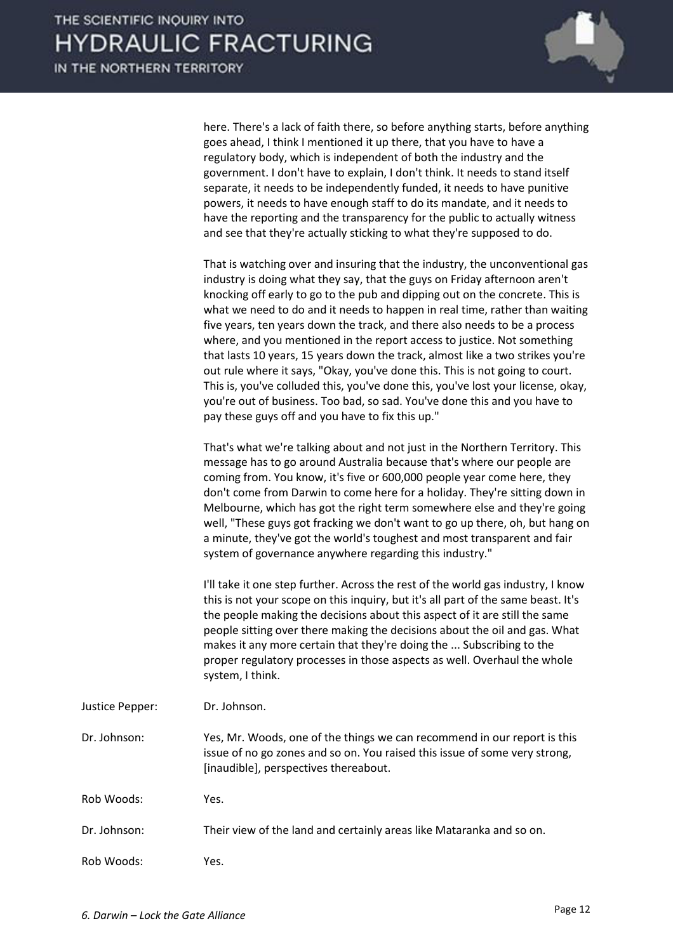

here. There's a lack of faith there, so before anything starts, before anything goes ahead, I think I mentioned it up there, that you have to have a regulatory body, which is independent of both the industry and the government. I don't have to explain, I don't think. It needs to stand itself separate, it needs to be independently funded, it needs to have punitive powers, it needs to have enough staff to do its mandate, and it needs to have the reporting and the transparency for the public to actually witness and see that they're actually sticking to what they're supposed to do.

 That is watching over and insuring that the industry, the unconventional gas industry is doing what they say, that the guys on Friday afternoon aren't knocking off early to go to the pub and dipping out on the concrete. This is what we need to do and it needs to happen in real time, rather than waiting five years, ten years down the track, and there also needs to be a process where, and you mentioned in the report access to justice. Not something that lasts 10 years, 15 years down the track, almost like a two strikes you're out rule where it says, "Okay, you've done this. This is not going to court. This is, you've colluded this, you've done this, you've lost your license, okay, you're out of business. Too bad, so sad. You've done this and you have to pay these guys off and you have to fix this up."

 That's what we're talking about and not just in the Northern Territory. This message has to go around Australia because that's where our people are coming from. You know, it's five or 600,000 people year come here, they don't come from Darwin to come here for a holiday. They're sitting down in Melbourne, which has got the right term somewhere else and they're going well, "These guys got fracking we don't want to go up there, oh, but hang on a minute, they've got the world's toughest and most transparent and fair system of governance anywhere regarding this industry."

 I'll take it one step further. Across the rest of the world gas industry, I know this is not your scope on this inquiry, but it's all part of the same beast. It's the people making the decisions about this aspect of it are still the same people sitting over there making the decisions about the oil and gas. What makes it any more certain that they're doing the ... Subscribing to the proper regulatory processes in those aspects as well. Overhaul the whole system, I think.

| Justice Pepper: | Dr. Johnson. |
|-----------------|--------------|
|                 |              |

Dr. Johnson: Yes, Mr. Woods, one of the things we can recommend in our report is this issue of no go zones and so on. You raised this issue of some very strong, [inaudible], perspectives thereabout.

Rob Woods: Yes.

Dr. Johnson: Their view of the land and certainly areas like Mataranka and so on.

Rob Woods: Yes.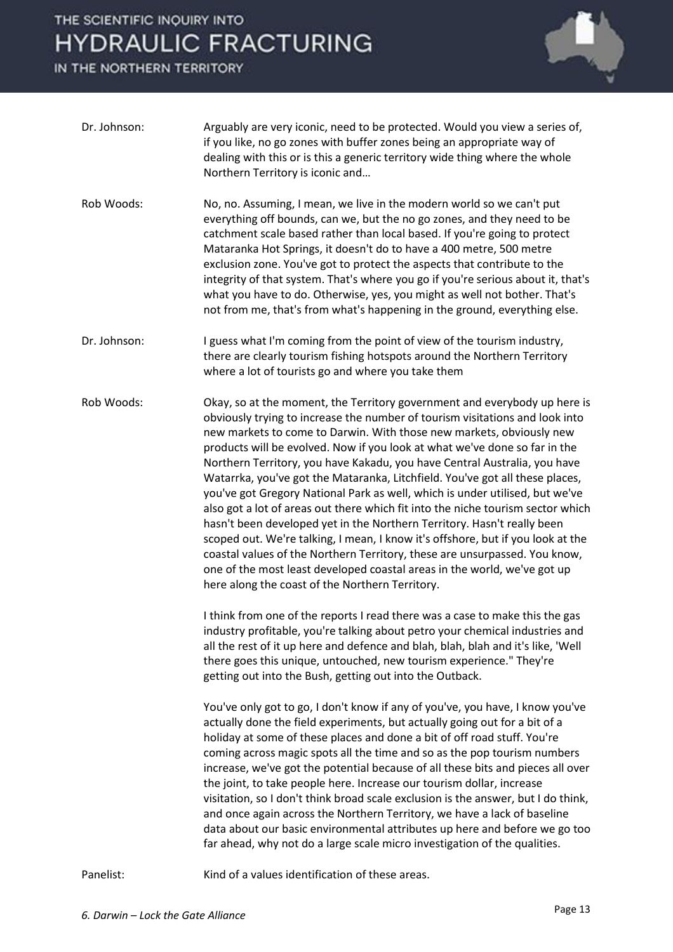IN THE NORTHERN TERRITORY



- Dr. Johnson: Arguably are very iconic, need to be protected. Would you view a series of, if you like, no go zones with buffer zones being an appropriate way of dealing with this or is this a generic territory wide thing where the whole Northern Territory is iconic and…
- Rob Woods: No, no. Assuming, I mean, we live in the modern world so we can't put everything off bounds, can we, but the no go zones, and they need to be catchment scale based rather than local based. If you're going to protect Mataranka Hot Springs, it doesn't do to have a 400 metre, 500 metre exclusion zone. You've got to protect the aspects that contribute to the integrity of that system. That's where you go if you're serious about it, that's what you have to do. Otherwise, yes, you might as well not bother. That's not from me, that's from what's happening in the ground, everything else.
- Dr. Johnson: I guess what I'm coming from the point of view of the tourism industry, there are clearly tourism fishing hotspots around the Northern Territory where a lot of tourists go and where you take them
- Rob Woods: Okay, so at the moment, the Territory government and everybody up here is obviously trying to increase the number of tourism visitations and look into new markets to come to Darwin. With those new markets, obviously new products will be evolved. Now if you look at what we've done so far in the Northern Territory, you have Kakadu, you have Central Australia, you have Watarrka, you've got the Mataranka, Litchfield. You've got all these places, you've got Gregory National Park as well, which is under utilised, but we've also got a lot of areas out there which fit into the niche tourism sector which hasn't been developed yet in the Northern Territory. Hasn't really been scoped out. We're talking, I mean, I know it's offshore, but if you look at the coastal values of the Northern Territory, these are unsurpassed. You know, one of the most least developed coastal areas in the world, we've got up here along the coast of the Northern Territory.

 I think from one of the reports I read there was a case to make this the gas industry profitable, you're talking about petro your chemical industries and all the rest of it up here and defence and blah, blah, blah and it's like, 'Well there goes this unique, untouched, new tourism experience." They're getting out into the Bush, getting out into the Outback.

 You've only got to go, I don't know if any of you've, you have, I know you've actually done the field experiments, but actually going out for a bit of a holiday at some of these places and done a bit of off road stuff. You're coming across magic spots all the time and so as the pop tourism numbers increase, we've got the potential because of all these bits and pieces all over the joint, to take people here. Increase our tourism dollar, increase visitation, so I don't think broad scale exclusion is the answer, but I do think, and once again across the Northern Territory, we have a lack of baseline data about our basic environmental attributes up here and before we go too far ahead, why not do a large scale micro investigation of the qualities.

Panelist: Kind of a values identification of these areas.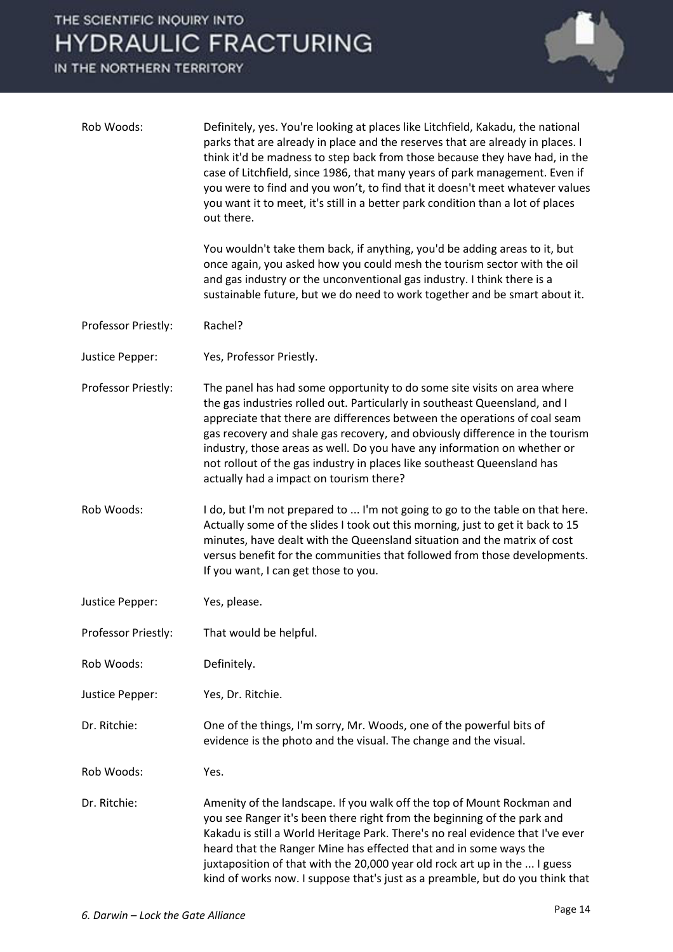IN THE NORTHERN TERRITORY



| Rob Woods:          | Definitely, yes. You're looking at places like Litchfield, Kakadu, the national<br>parks that are already in place and the reserves that are already in places. I<br>think it'd be madness to step back from those because they have had, in the<br>case of Litchfield, since 1986, that many years of park management. Even if<br>you were to find and you won't, to find that it doesn't meet whatever values<br>you want it to meet, it's still in a better park condition than a lot of places<br>out there.     |
|---------------------|----------------------------------------------------------------------------------------------------------------------------------------------------------------------------------------------------------------------------------------------------------------------------------------------------------------------------------------------------------------------------------------------------------------------------------------------------------------------------------------------------------------------|
|                     | You wouldn't take them back, if anything, you'd be adding areas to it, but<br>once again, you asked how you could mesh the tourism sector with the oil<br>and gas industry or the unconventional gas industry. I think there is a<br>sustainable future, but we do need to work together and be smart about it.                                                                                                                                                                                                      |
| Professor Priestly: | Rachel?                                                                                                                                                                                                                                                                                                                                                                                                                                                                                                              |
| Justice Pepper:     | Yes, Professor Priestly.                                                                                                                                                                                                                                                                                                                                                                                                                                                                                             |
| Professor Priestly: | The panel has had some opportunity to do some site visits on area where<br>the gas industries rolled out. Particularly in southeast Queensland, and I<br>appreciate that there are differences between the operations of coal seam<br>gas recovery and shale gas recovery, and obviously difference in the tourism<br>industry, those areas as well. Do you have any information on whether or<br>not rollout of the gas industry in places like southeast Queensland has<br>actually had a impact on tourism there? |
| Rob Woods:          | I do, but I'm not prepared to  I'm not going to go to the table on that here.<br>Actually some of the slides I took out this morning, just to get it back to 15<br>minutes, have dealt with the Queensland situation and the matrix of cost<br>versus benefit for the communities that followed from those developments.<br>If you want, I can get those to you.                                                                                                                                                     |
| Justice Pepper:     | Yes, please.                                                                                                                                                                                                                                                                                                                                                                                                                                                                                                         |
| Professor Priestly: | That would be helpful.                                                                                                                                                                                                                                                                                                                                                                                                                                                                                               |
| Rob Woods:          | Definitely.                                                                                                                                                                                                                                                                                                                                                                                                                                                                                                          |
| Justice Pepper:     | Yes, Dr. Ritchie.                                                                                                                                                                                                                                                                                                                                                                                                                                                                                                    |
| Dr. Ritchie:        | One of the things, I'm sorry, Mr. Woods, one of the powerful bits of<br>evidence is the photo and the visual. The change and the visual.                                                                                                                                                                                                                                                                                                                                                                             |
| Rob Woods:          | Yes.                                                                                                                                                                                                                                                                                                                                                                                                                                                                                                                 |
| Dr. Ritchie:        | Amenity of the landscape. If you walk off the top of Mount Rockman and<br>you see Ranger it's been there right from the beginning of the park and<br>Kakadu is still a World Heritage Park. There's no real evidence that I've ever<br>heard that the Ranger Mine has effected that and in some ways the<br>juxtaposition of that with the 20,000 year old rock art up in the  I guess<br>kind of works now. I suppose that's just as a preamble, but do you think that                                              |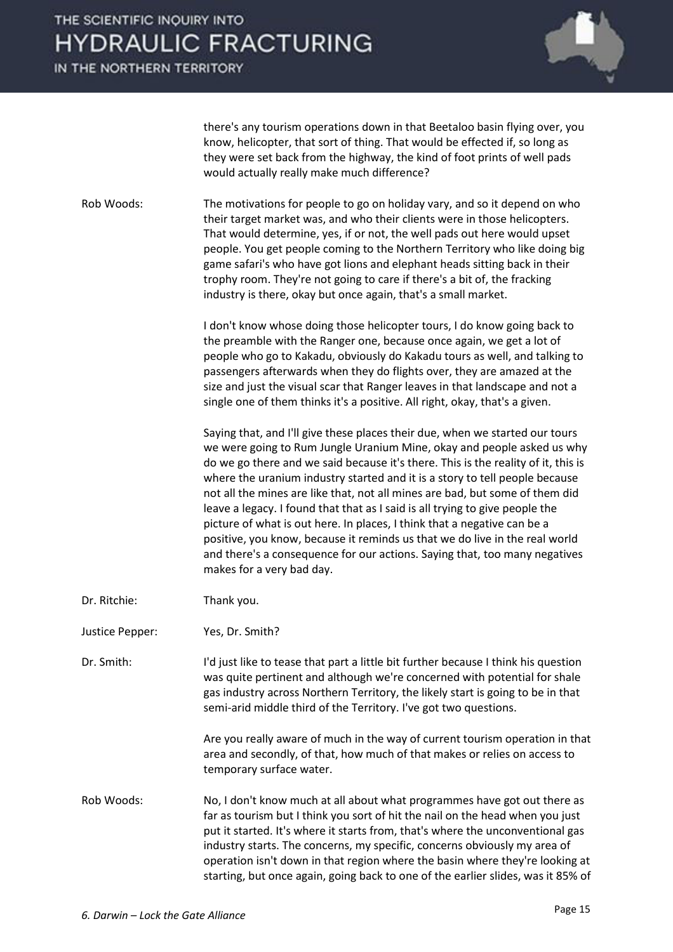IN THE NORTHERN TERRITORY



there's any tourism operations down in that Beetaloo basin flying over, you know, helicopter, that sort of thing. That would be effected if, so long as they were set back from the highway, the kind of foot prints of well pads would actually really make much difference?

Rob Woods: The motivations for people to go on holiday vary, and so it depend on who their target market was, and who their clients were in those helicopters. That would determine, yes, if or not, the well pads out here would upset people. You get people coming to the Northern Territory who like doing big game safari's who have got lions and elephant heads sitting back in their trophy room. They're not going to care if there's a bit of, the fracking industry is there, okay but once again, that's a small market.

> I don't know whose doing those helicopter tours, I do know going back to the preamble with the Ranger one, because once again, we get a lot of people who go to Kakadu, obviously do Kakadu tours as well, and talking to passengers afterwards when they do flights over, they are amazed at the size and just the visual scar that Ranger leaves in that landscape and not a single one of them thinks it's a positive. All right, okay, that's a given.

 Saying that, and I'll give these places their due, when we started our tours we were going to Rum Jungle Uranium Mine, okay and people asked us why do we go there and we said because it's there. This is the reality of it, this is where the uranium industry started and it is a story to tell people because not all the mines are like that, not all mines are bad, but some of them did leave a legacy. I found that that as I said is all trying to give people the picture of what is out here. In places, I think that a negative can be a positive, you know, because it reminds us that we do live in the real world and there's a consequence for our actions. Saying that, too many negatives makes for a very bad day.

- Dr. Ritchie: Thank you.
- Justice Pepper: Yes, Dr. Smith?

Dr. Smith: I'd just like to tease that part a little bit further because I think his question was quite pertinent and although we're concerned with potential for shale gas industry across Northern Territory, the likely start is going to be in that semi-arid middle third of the Territory. I've got two questions.

> Are you really aware of much in the way of current tourism operation in that area and secondly, of that, how much of that makes or relies on access to temporary surface water.

Rob Woods: No, I don't know much at all about what programmes have got out there as far as tourism but I think you sort of hit the nail on the head when you just put it started. It's where it starts from, that's where the unconventional gas industry starts. The concerns, my specific, concerns obviously my area of operation isn't down in that region where the basin where they're looking at starting, but once again, going back to one of the earlier slides, was it 85% of